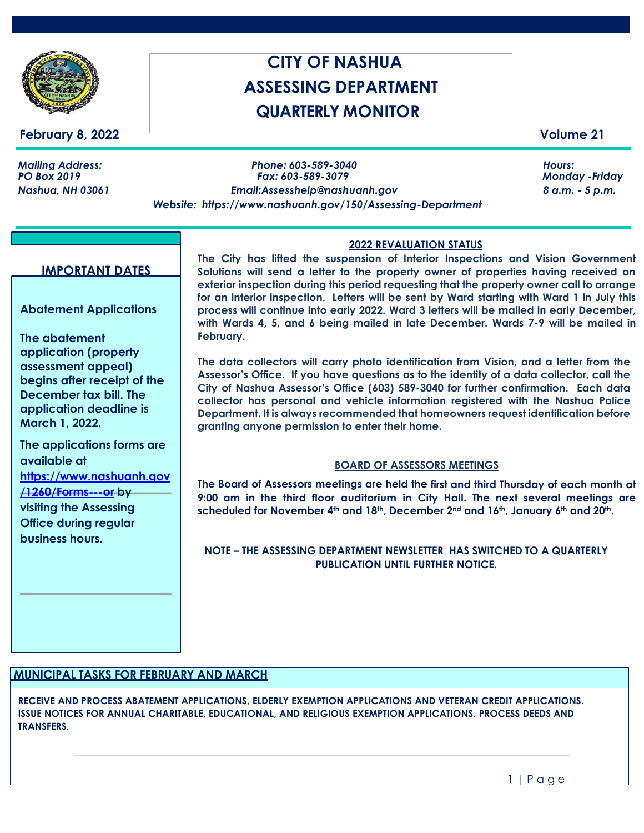

## **February 8, 2022** Volume 21

# **CITY OF NASHUA ASSESSING DEPARTMENT QUARTERLY MONITOR**

*Mailing Address: Phone: 603-589-3040 Hours: Nashua, NH 03061 [Email:Assesshelp@nashuanh.gov](mailto:Email:Assesshelp@nashuanh.gov) 8 a.m. - 5 p.m. Website: https[://www.nashuanh.gov/150/Assessing-Department](http://www.nashuanh.gov/150/Assessing-Department)*

*PO Box 2019 Fax: 603-589-3079 Monday -Friday*

#### **IMPORTANT DATES**

**Abatement Applications** 

**The abatement application (property assessment appeal) begins after receipt of the December tax bill. The application deadline is March 1, 2022.**

**The applications forms are available at [https://www.nashuanh.gov](https://www.nashuanh.gov/1260/Forms---or) [/1260/Forms---or](https://www.nashuanh.gov/1260/Forms---or) by visiting the Assessing Office during regular business hours.**

#### **2022 REVALUATION STATUS**

**The City has lifted the suspension of Interior Inspections and Vision Government Solutions will send a letter to the property owner of properties having received an exterior inspection during this period requesting that the property owner call to arrange for an interior inspection. Letters will be sent by Ward starting with Ward 1 in July this process will continue into early 2022. Ward 3 letters will be mailed in early December, with Wards 4, 5, and 6 being mailed in late December. Wards 7-9 will be mailed in February.**

**The data collectors will carry photo identification from Vision, and a letter from the Assessor's Office. If you have questions as to the identity of a data collector, call the City of Nashua Assessor's Office (603) 589-3040 for further confirmation. Each data collector has personal and vehicle information registered with the Nashua Police Department. It is always recommended that homeowners request identification before granting anyone permission to enter their home.** 

#### **BOARD OF ASSESSORS MEETINGS**

**The Board of Assessors meetings are held the first and third Thursday of each month at 9:00 am in the third floor auditorium in City Hall. The next several meetings are scheduled for November 4th and 18th, December 2nd and 16th, January 6th and 20th.**

#### **NOTE – THE ASSESSING DEPARTMENT NEWSLETTER HAS SWITCHED TO A QUARTERLY PUBLICATION UNTIL FURTHER NOTICE.**

# **MUNICIPAL TASKS FOR FEBRUARY AND MARCH**

**RECEIVE AND PROCESS ABATEMENT APPLICATIONS, ELDERLY EXEMPTION APPLICATIONS AND VETERAN CREDIT APPLICATIONS. ISSUE NOTICES FOR ANNUAL CHARITABLE, EDUCATIONAL, AND RELIGIOUS EXEMPTION APPLICATIONS. PROCESS DEEDS AND TRANSFERS.**

1 | P a g e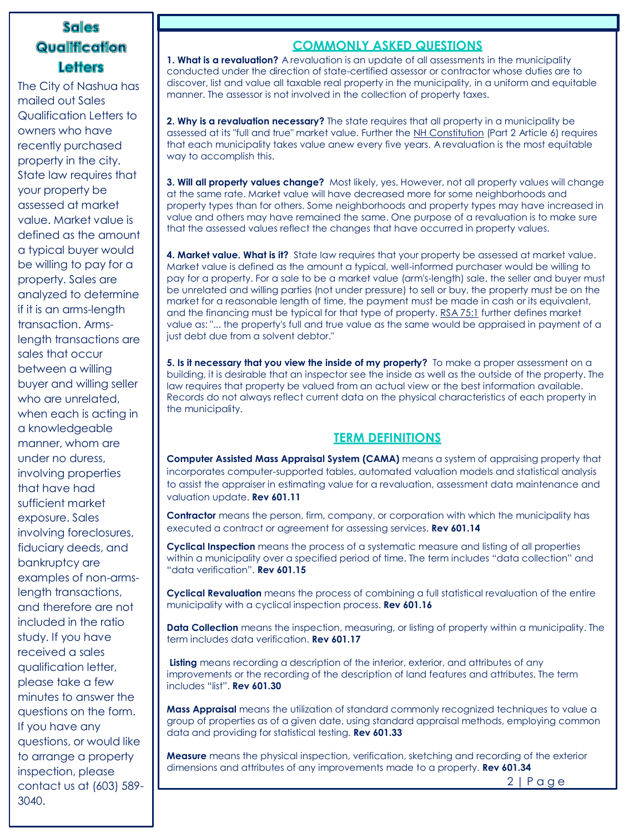# **Sales** Qualification **Letters**

The City of Nashua has mailed out Sales Qualification Letters to owners who have recently purchased property in the city. State law requires that your property be assessed at market value. Market value is defined as the amount a typical buyer would be willing to pay for a property. Sales are analyzed to determine if it is an arms-length transaction. Armslength transactions are sales that occur between a willing buyer and willing seller who are unrelated, when each is acting in a knowledgeable manner, whom are under no duress, involving properties that have had sufficient market exposure. Sales involving foreclosures, fiduciary deeds, and bankruptcy are examples of non-armslength transactions, and therefore are not included in the ratio study. If you have received a sales qualification letter, please take a few minutes to answer the questions on the form. If you have any questions, or would like to arrange a property inspection, please contact us at (603) 589- 3040.

## **COMMONLY ASKED QUESTIONS**

**1. What is a revaluation?** A revaluation is an update of all assessments in the municipality conducted under the direction of state-certified assessor or contractor whose duties are to discover, list and value all taxable real property in the municipality, in a uniform and equitable manner. The assessor is not involved in the collection of property taxes.

**2. Why is a revaluation necessary?** The state requires that all property in a municipality be assessed at its "full and true" market value. Further the NH [Constitution](http://www.nh.gov/constitution/constitution.html) (Part 2 Article 6) requires that each municipality takes value anew every five years. A revaluation is the most equitable way to accomplish this.

**3. Will all property values change?** Most likely, yes. However, not all property values will change at the same rate. Market value will have decreased more for some neighborhoods and property types than for others. Some neighborhoods and property types may have increased in value and others may have remained the same. One purpose of a revaluation is to make sure that the assessed values reflect the changes that have occurred in property values.

**4. Market value. What is it?** State law requires that your property be assessed at market value. Market value is defined as the amount a typical, well-informed purchaser would be willing to pay for a property. For a sale to be a market value (arm's-length) sale, the seller and buyer must be unrelated and willing parties (not under pressure) to sell or buy, the property must be on the market for a reasonable length of time, the payment must be made in cash or its equivalent, and the financing must be typical for that type of property. RSA [75:1](http://www.gencourt.state.nh.us/rsa/html/V/75/75-1.htm) further defines market value as: "... the property's full and true value as the same would be appraised in payment of a just debt due from a solvent debtor."

**5. Is it necessary that you view the inside of my property?** To make a proper assessment on a building, it is desirable that an inspector see the inside as well as the outside of the property. The law requires that property be valued from an actual view or the best information available. Records do not always reflect current data on the physical characteristics of each property in the municipality.

# **TERM DEFINITIONS**

**Computer Assisted Mass Appraisal System (CAMA)** means a system of appraising property that incorporates computer-supported tables, automated valuation models and statistical analysis to assist the appraiser in estimating value for a revaluation, assessment data maintenance and valuation update. **Rev 601.11**

**Contractor** means the person, firm, company, or corporation with which the municipality has executed a contract or agreement for assessing services. **Rev 601.14**

**Cyclical Inspection** means the process of a systematic measure and listing of all properties within a municipality over a specified period of time. The term includes "data collection" and "data verification". **Rev 601.15**

**Cyclical Revaluation** means the process of combining a full statistical revaluation of the entire municipality with a cyclical inspection process. **Rev 601.16**

**Data Collection** means the inspection, measuring, or listing of property within a municipality. The term includes data verification. **Rev 601.17**

**Listing** means recording a description of the interior, exterior, and attributes of any improvements or the recording of the description of land features and attributes. The term includes "list". **Rev 601.30**

**Mass Appraisal** means the utilization of standard commonly recognized techniques to value a group of properties as of a given date, using standard appraisal methods, employing common data and providing for statistical testing. **Rev 601.33**

**Measure** means the physical inspection, verification, sketching and recording of the exterior dimensions and attributes of any improvements made to a property. **Rev 601.34**

2 | P a g e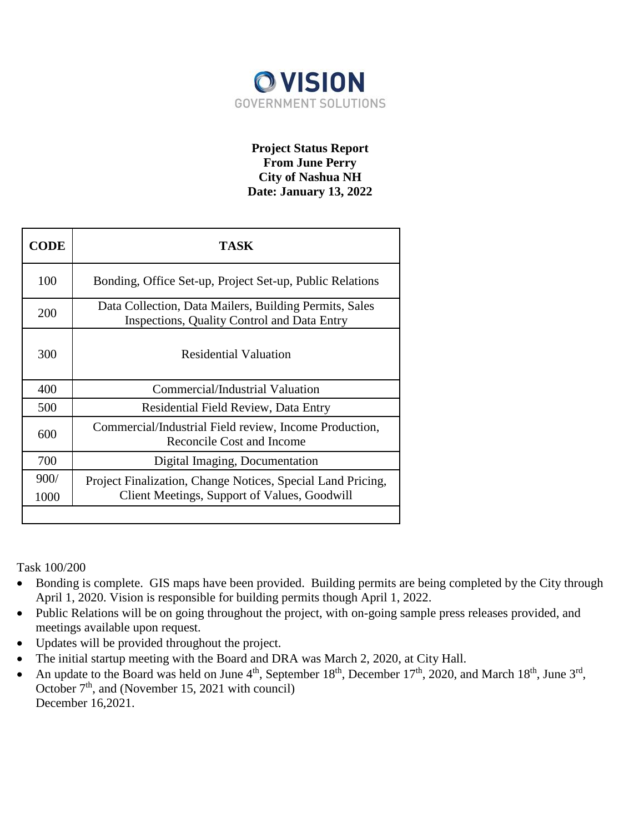

# **Project Status Report From June Perry City of Nashua NH Date: January 13, 2022**

| <b>CODE</b>  | TASK                                                                                                         |  |
|--------------|--------------------------------------------------------------------------------------------------------------|--|
| 100          | Bonding, Office Set-up, Project Set-up, Public Relations                                                     |  |
| 200          | Data Collection, Data Mailers, Building Permits, Sales<br><b>Inspections, Quality Control and Data Entry</b> |  |
| 300          | <b>Residential Valuation</b>                                                                                 |  |
| 400          | Commercial/Industrial Valuation                                                                              |  |
| 500          | Residential Field Review, Data Entry                                                                         |  |
| 600          | Commercial/Industrial Field review, Income Production,<br>Reconcile Cost and Income                          |  |
| 700          | Digital Imaging, Documentation                                                                               |  |
| 900/<br>1000 | Project Finalization, Change Notices, Special Land Pricing,<br>Client Meetings, Support of Values, Goodwill  |  |
|              |                                                                                                              |  |

Task 100/200

- Bonding is complete. GIS maps have been provided. Building permits are being completed by the City through April 1, 2020. Vision is responsible for building permits though April 1, 2022.
- Public Relations will be on going throughout the project, with on-going sample press releases provided, and meetings available upon request.
- Updates will be provided throughout the project.
- The initial startup meeting with the Board and DRA was March 2, 2020, at City Hall.
- An update to the Board was held on June  $4<sup>th</sup>$ , September 18<sup>th</sup>, December 17<sup>th</sup>, 2020, and March 18<sup>th</sup>, June 3<sup>rd</sup>, October  $7<sup>th</sup>$ , and (November 15, 2021 with council) December 16,2021.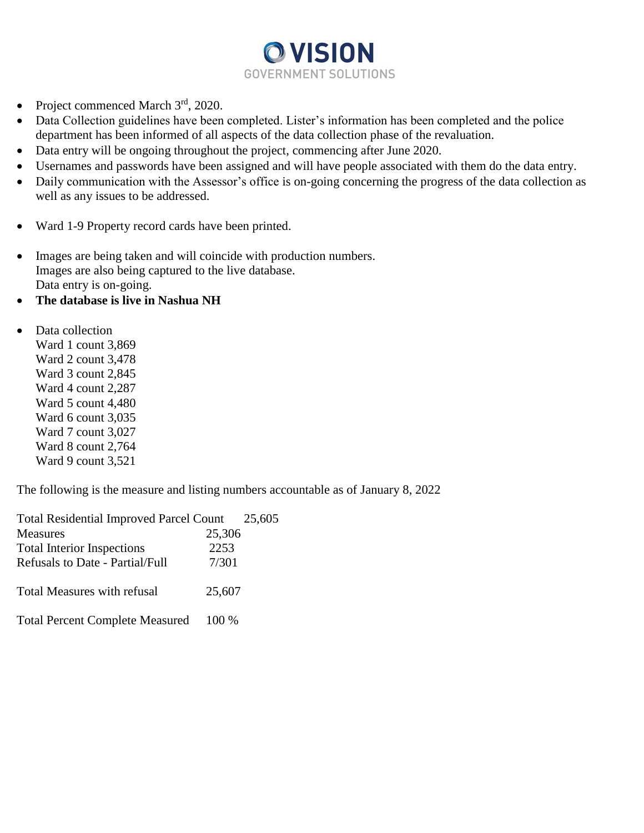

- Project commenced March  $3<sup>rd</sup>$ , 2020.
- Data Collection guidelines have been completed. Lister's information has been completed and the police department has been informed of all aspects of the data collection phase of the revaluation.
- Data entry will be ongoing throughout the project, commencing after June 2020.
- Usernames and passwords have been assigned and will have people associated with them do the data entry.
- Daily communication with the Assessor's office is on-going concerning the progress of the data collection as well as any issues to be addressed.
- Ward 1-9 Property record cards have been printed.
- Images are being taken and will coincide with production numbers. Images are also being captured to the live database. Data entry is on-going.
- **The database is live in Nashua NH**
- Data collection
	- Ward 1 count 3,869 Ward 2 count 3,478 Ward 3 count 2,845 Ward 4 count 2,287 Ward 5 count 4,480 Ward 6 count 3,035 Ward 7 count 3,027 Ward 8 count 2,764 Ward 9 count 3,521

The following is the measure and listing numbers accountable as of January 8, 2022

| <b>Total Residential Improved Parcel Count</b> |        | 25,605 |
|------------------------------------------------|--------|--------|
| <b>Measures</b>                                | 25,306 |        |
| <b>Total Interior Inspections</b>              | 2253   |        |
| <b>Refusals to Date - Partial/Full</b>         | 7/301  |        |
| <b>Total Measures with refusal</b>             | 25,607 |        |
| <b>Total Percent Complete Measured</b>         | 100 %  |        |